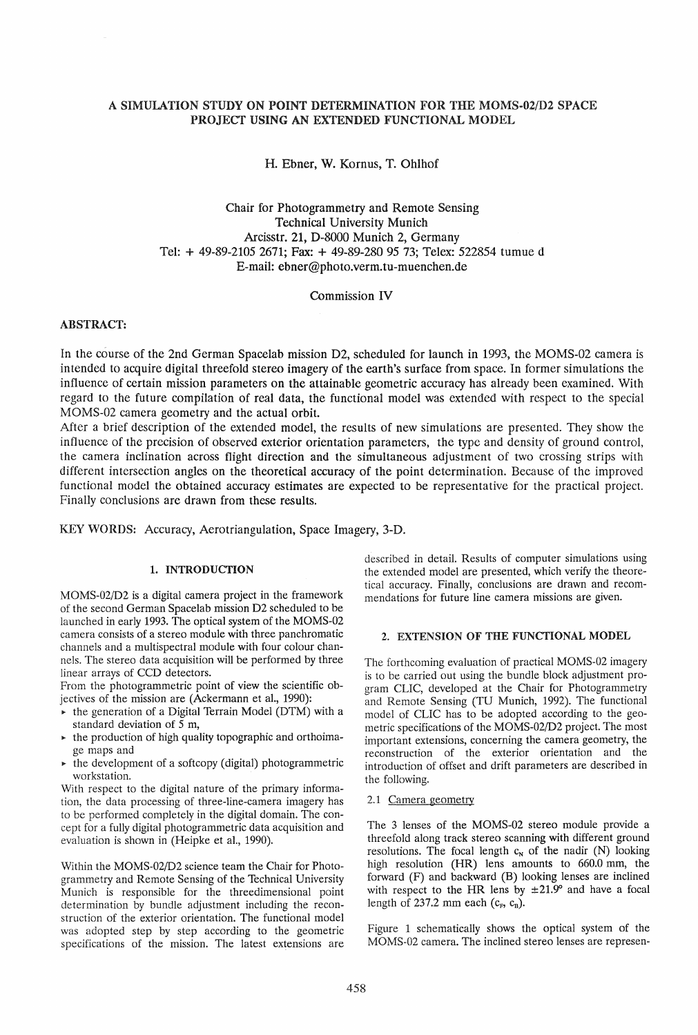# A SIMULATION STUDY ON POINT DETERMINATION FOR THE MOMS-02/D2 SPACE PROJECT USING AN EXTENDED FUNCTIONAL MODEL

H. Ebner, W. Kornus, T. Ohlhof

Chair for Photogrammetry and Remote Sensing Technical University Munich Areisstr. 21, D-8000 Munich 2, Germany Tel: + 49-89-2105 2671; Fax: + 49-89-280 95 73; Telex: 522854 tumue d E-mail: ebner@photo.verm.tu-muenchen.de

Commission IV

### ABSTRACT:

In the course of the 2nd German Spacelab mission D2, scheduled for launch in 1993, the MOMS-02 camera is intended to acquire digital threefold stereo imagery of the earth's surface from space. In former simulations the influence of certain mission parameters on the attainable geometric accuracy has already been examined. With regard to the future compilation of real data, the functional model was extended with respect to the special MOMS-02 camera geometry and the actual orbit.

After a brief description of the extended model, the results of new simulations are presented. They show the influence of the precision of observed exterior orientation parameters, the type and density of ground control, the camera inclination across flight direction and the simultaneous adjustment of two crossing strips with different intersection angles on the theoretical accuracy of the point determination. Because of the improved functional model the obtained accuracy estimates are expected to be representative for the practical project. Finally conclusions are drawn from these results.

KEY WORDS: Accuracy, Aerotriangulation, Space Imagery, 3-D.

### 1. INTRODUCTION

MOMS-02/D2 is a digital camera project in the framework of the second German Spacelab mission D2 scheduled to be launched in early 1993. The optical system of the MOMS-02 camera consists of a stereo module with three panchromatic channels and a multispectral module with four colour channels. The stereo data acquisition will be performed by three linear arrays of CCD detectors.

From the photogrammetric point of view the scientific objectives of the mission are (Ackermann et aI., 1990):

- $\triangleright$  the generation of a Digital Terrain Model (DTM) with a standard deviation of 5 m,
- $\rightarrow$  the production of high quality topographic and orthoimage maps and
- $\triangleright$  the development of a softcopy (digital) photogrammetric workstation.

With respect to the digital nature of the primary information, the data processing of three-line-camera imagery has to be performed completely in the digital domain. The concept for a fully digital photogrammetric data acquisition and evaluation is shown in (Heipke et aI., 1990).

Within the MOMS-02/D2 science team the Chair for Photogramme try and Remote Sensing of the Technical University Munich is responsible for the threedimensional point determination by bundle adjustment including the reconstruction of the exterior orientation. The functional model was adopted step by step according to the geometric specifications of the mission. The latest extensions are described in detail. Results of computer simulations using the extended model are presented, which verify the theoretical accuracy. Finally, conclusions are drawn and recommendations for future line camera missions are given.

# 2. EXTENSION OF THE FUNCTIONAL MODEL

The forthcoming evaluation of practical MOMS-02 imagery is to be carried out using the bundle block adjustment program CLIC, developed at the Chair for Photogrammetry and Remote Sensing (TU Munich, 1992). The functional model of CLIC has to be adopted according to the geometric specifications of the MOMS-02/D2 project. The most important extensions, concerning the camera geometry, the reconstruction of the exterior orientation and the introduction of offset and drift parameters are described in the following.

#### 2.1 Camera geometry

The 3 lenses of the MOMS-02 stereo module provide a threefold along track stereo scanning with different ground resolutions. The focal length  $c<sub>N</sub>$  of the nadir (N) looking high resolution (HR) lens amounts to 660.0 mm, the forward (F) and backward (B) looking lenses are inclined with respect to the HR lens by  $\pm 21.9^{\circ}$  and have a focal length of 237.2 mm each  $(c_F, c_B)$ .

Figure 1 schematically shows the optical system of the MOMS-02 camera. The inclined stereo lenses are represen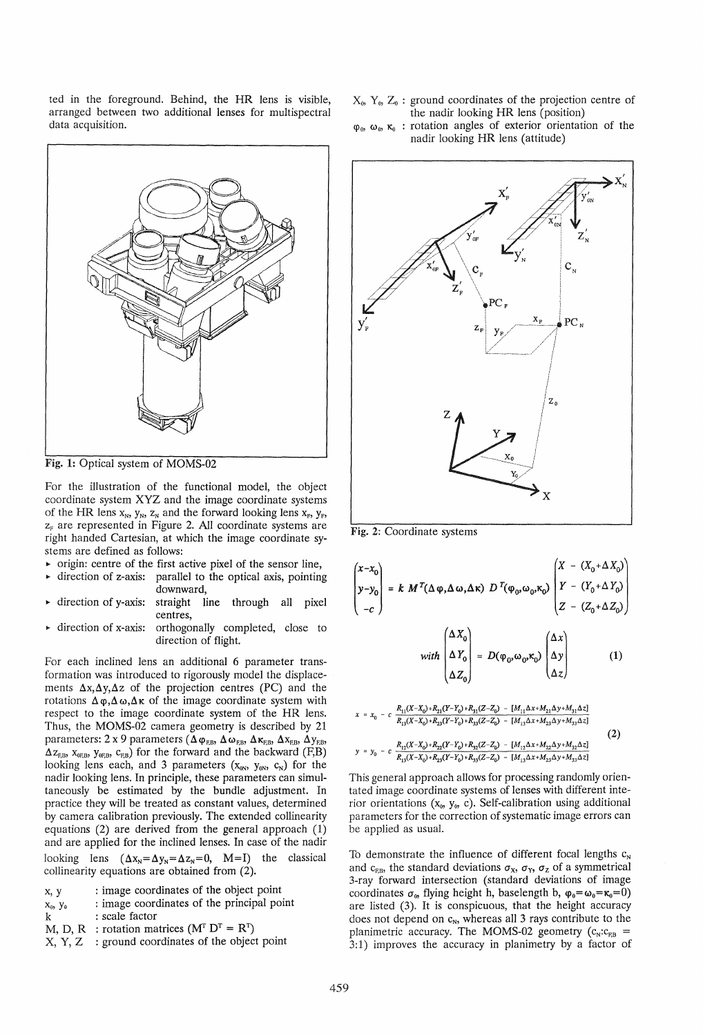ted **in** the foreground. Behind, the HR lens is visible, arranged between two additional lenses for multispectral data acquisition.

- $X_0$ ,  $Y_0$ ,  $Z_0$ : ground coordinates of the projection centre of the nadir looking HR lens (position)
- $\varphi_0$ ,  $\omega_0$ ,  $\kappa_0$ : rotation angles of exterior orientation of the nadir looking HR lens (attitude)



Fig. 1: Optical system of MOMS-02

For the illustration of the functional model, the object coordinate system XYZ and the image coordinate systems of the HR lens  $x_N$ ,  $y_N$ ,  $z_N$  and the forward looking lens  $x_F$ ,  $y_F$ ,  $z_F$  are represented in Figure 2. All coordinate systems are right handed Cartesian, at which the image coordinate systems are defined as follows:

- $\triangleright$  origin: centre of the first active pixel of the sensor line,
- direction of z-axis: parallel to the optical axis, pointing downward,
- <sup>~</sup>direction of y-axis: straight line through all pixel centres,
- <sup>~</sup>direction of x-axis: orthogonally completed, close to direction of flight.

For each inclined lens an additional 6 parameter transformation was introduced to rigorously model the displacements  $\Delta x, \Delta y, \Delta z$  of the projection centres (PC) and the rotations  $\Delta \varphi, \Delta \omega, \Delta \kappa$  of the image coordinate system with respect to the image coordinate system of the HR lens. Thus, the MOMS-02 camera geometry is described by 21 parameters: 2 x 9 parameters ( $\Delta \varphi_{FB}$ ,  $\Delta \omega_{FB}$ ,  $\Delta \kappa_{FB}$ ,  $\Delta x_{FB}$ ,  $\Delta y_{FB}$ ,  $\Delta z_{F,B}$ ,  $x_{oF,B}$ ,  $y_{oF,B}$ ,  $c_{F,B}$ ) for the forward and the backward (F,B) looking lens each, and 3 parameters  $(x_{0N}, y_{0N}, c_N)$  for the nadir looking lens. In principle, these parameters can simultaneously be estimated by the bundle adjustment. In practice they will be treated as constant values, determined by camera calibration previously. The extended collinearity equations (2) are derived from the general approach (1) and are applied for the inclined lenses. In case of the nadir looking lens  $(\Delta x_N = \Delta y_N = \Delta z_N = 0, M=I)$  the classical collinearity equations are obtained from  $(2)$ .

| x, y | : image coordinates of the object point |  |  |
|------|-----------------------------------------|--|--|
|      |                                         |  |  |

- $X_0$ ,  $Y_0$ : image coordinates of the principal point
- k : scale factor
- M, D, R : rotation matrices  $(M<sup>T</sup> D<sup>T</sup> = R<sup>T</sup>)$
- $X, Y, Z$  : ground coordinates of the object point



Fig. 2: Coordinate systems

$$
\begin{pmatrix} x - x_0 \ y - y_0 \ -c \end{pmatrix} = k \ M^T (\Delta \varphi, \Delta \omega, \Delta \kappa) \ D^T (\varphi_0, \omega_0, \kappa_0) \begin{pmatrix} X - (X_0 + \Delta X_0) \ Y - (Y_0 + \Delta Y_0) \ Z - (Z_0 + \Delta Z_0) \end{pmatrix}
$$

$$
\text{with } \begin{pmatrix} \Delta Y_0 \\ \Delta Z_0 \end{pmatrix} = D(\varphi_0, \omega_0, \kappa_0) \begin{pmatrix} \Delta y \\ \Delta z \end{pmatrix} \tag{1}
$$

$$
x = x_0 - c \frac{R_{11}(X-X_0) + R_{21}(Y-Y_0) + R_{31}(Z-Z_0) - [M_{11}\Delta x + M_{21}\Delta y + M_{31}\Delta z]}{R_{13}(X-X_0) + R_{23}(Y-Y_0) + R_{33}(Z-Z_0) - [M_{13}\Delta x + M_{23}\Delta y + M_{33}\Delta z]}
$$
\n
$$
y = y_0 - c \frac{R_{12}(X-X_0) + R_{22}(Y-Y_0) + R_{32}(Z-Z_0) - [M_{12}\Delta x + M_{22}\Delta y + M_{32}\Delta z]}{R_{13}(X-X_0) + R_{23}(Y-Y_0) + R_{33}(Z-Z_0) - [M_{13}\Delta x + M_{23}\Delta y + M_{33}\Delta z]}
$$
\n(2)

This general approach allows for processing randomly orientated image coordinate systems of lenses with different interior orientations ( $x_0$ ,  $y_0$ , c). Self-calibration using additional parameters for the correction of systematic image errors can be applied as usual.

To demonstrate the influence of different focal lengths  $c_N$ and  $c_{FB}$ , the standard deviations  $\sigma_x$ ,  $\sigma_y$ ,  $\sigma_z$  of a symmetrical 3-ray forward intersection (standard deviations of image coordinates  $\sigma_0$ , flying height h, baselength b,  $\varphi_0 = \omega_0 = \kappa_0 = 0$ ) are listed (3). It is conspicuous, that the height accuracy does not depend on  $c_N$ , whereas all 3 rays contribute to the planimetric accuracy. The MOMS-02 geometry  $(c_N:c_{FB} =$ 3:1) improves the accuracy in planimetry by a factor of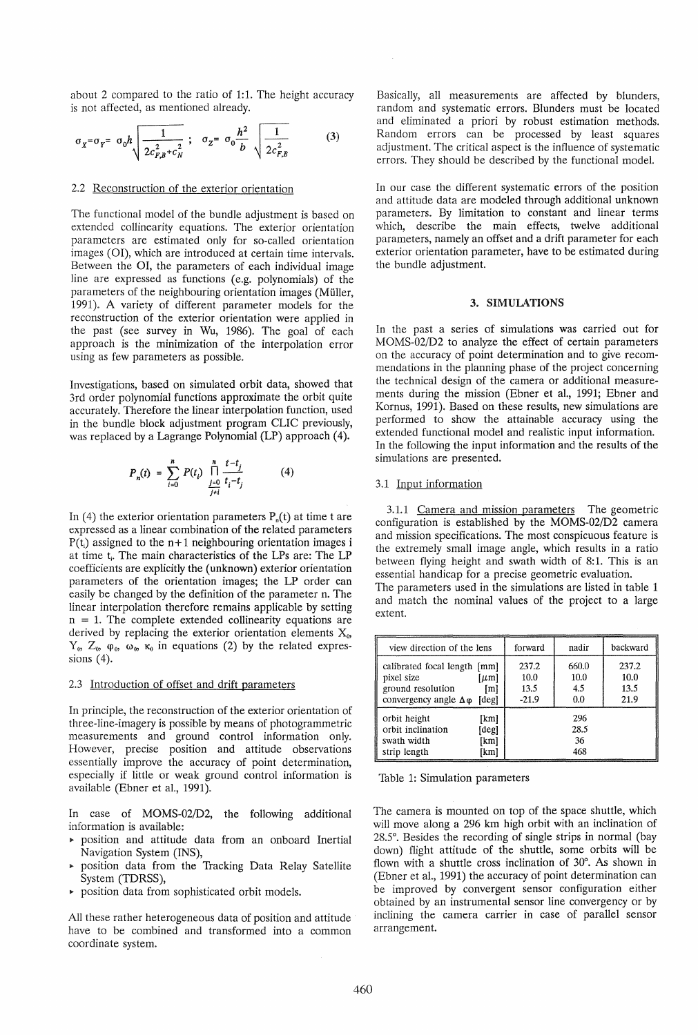about 2 compared to the ratio of 1:1. The height accuracy is not affected, as mentioned already.

$$
\sigma_{X} = \sigma_{Y} = \sigma_{0} h \sqrt{\frac{1}{2c_{F,B}^{2} + c_{N}^{2}}}; \quad \sigma_{Z} = \sigma_{0} \frac{h^{2}}{b} \sqrt{\frac{1}{2c_{F,B}^{2}}} \tag{3}
$$

# 2.2 Reconstruction of the exterior orientation

The functional model of the bundle adjustment is based on extended collinearity equations. The exterior orientation parameters are estimated only for so-called orientation images (01), which are introduced at certain time intervals. Between the 01, the parameters of each individual image line are expressed as functions (e.g. polynomials) of the parameters of the neighbouring orientation images (Muller, 1991). A variety of different parameter models for the reconstruction of the exterior orientation were applied in the past (see survey in Wu, 1986). The goal of each approach is the minimization of the interpolation error using as few parameters as possible.

Investigations, based on simulated orbit data, showed that 3rd order polynomial functions approximate the orbit quite accurately. Therefore the linear interpolation function, used in the bundle block adjustment program CLIC previously, was replaced by a Lagrange Polynomial (LP) approach (4).

$$
P_n(t) = \sum_{i=0}^n P(t_i) \prod_{\substack{j=0 \ j \neq i}}^n \frac{t - t_j}{t_i - t_j}
$$
(4)

In (4) the exterior orientation parameters  $P_{n}(t)$  at time t are expressed as a linear combination of the related parameters  $P(t_i)$  assigned to the  $n+1$  neighbouring orientation images i at time t<sub>i</sub>. The main characteristics of the LPs are: The LP coefficients are explicitly the (unknown) exterior orientation parameters of the orientation images; the LP order can easily be changed by the definition of the parameter n. The linear interpolation therefore remains applicable by setting  $n = 1$ . The complete extended collinearity equations are derived by replacing the exterior orientation elements  $X_0$ ,  $Y_0$ ,  $Z_0$ ,  $\varphi_0$ ,  $\omega_0$ ,  $\kappa_0$  in equations (2) by the related expressions  $(4)$ .

### 2.3 Introduction of offset and drift parameters

In principle, the reconstruction of the exterior orientation of three-line-imagery is possible by means of photogrammetric measurements and ground control information only. However, precise position and attitude observations essentially improve the accuracy of point determination, especially if little or weak ground control information is available (Ebner et al., 1991).

In case of MOMS-02/D2, the following additional information is available:

- <sup>~</sup>position and attitude data from an onboard Inertial Navigation System (INS),
- $\triangleright$  position data from the Tracking Data Relay Satellite System (TDRSS),
- position data from sophisticated orbit models.

All these rather heterogeneous data of position and attitude have to be combined and transformed into a common coordinate system.

Basically, all measurements are affected by blunders, random and systematic errors. Blunders must be located and eliminated a priori by robust estimation methods. Random errors can be processed by least squares adjustment. The critical aspect is the influence of systematic errors. They should be described by the functional model.

In our case the different systematic errors of the position and attitude data are modeled through additional unknown parameters. By limitation to constant and linear terms which, describe the main effects, twelve additional parameters, namely an offset and a drift parameter for each exterior orientation parameter, have to be estimated during the bundle adjustment.

#### 3. SIMULATIONS

In the past a series of simulations was carried out for MOMS-02/D2 to analyze the effect of certain parameters on the accuracy of point determination and to give recommendations in the planning phase of the project concerning the technical design of the camera or additional measurements during the mission (Ebner et a1., 1991; Ebner and Kornus, 1991). Based on these results, new simulations are performed to show the attainable accuracy using the extended functional model and realistic input information. In the following the input information and the results of the simulations are presented.

### 3.1 Input information

3.1.1 Camera and mission parameters The geometric configuration is established by the MOMS-02/D2 camera and mission specifications. The most conspicuous feature is the extremely small image angle, which results in a ratio between flying height and swath width of 8:1. This is an essential handicap for a precise geometric evaluation. The parameters used in the simulations are listed in table 1 and match the nominal values of the project to a large extent.

| view direction of the lens                                                                                                   | forward<br>nadir                 |                             | backward                      |  |
|------------------------------------------------------------------------------------------------------------------------------|----------------------------------|-----------------------------|-------------------------------|--|
| calibrated focal length [mm]<br>pixel size<br>[µm]<br>ground resolution<br>[m]<br>convergency angle $\Delta\varphi$<br>[deg] | 237.2<br>10.0<br>13.5<br>$-21.9$ | 660.0<br>10.0<br>4.5<br>0.0 | 237.2<br>10.0<br>13.5<br>21.9 |  |
| orbit height<br>[km]<br>orbit inclination<br>[deg]<br>swath width<br>[km]<br>strip length<br>[km]                            | 296<br>28.5<br>36<br>468         |                             |                               |  |

Table 1: Simulation parameters

The camera is mounted on top of the space shuttle, which will move along a 296 km high orbit with an inclination of 28.5°. Besides the recording of single strips in normal (bay down) flight attitude of the shuttle, some orbits will be flown with a shuttle cross inclination of 30°. As shown in (Ebner et al., 1991) the accuracy of point determination can be improved by convergent sensor configuration either obtained by an instrumental sensor line convergency or by inclining the camera carrier in case of parallel sensor arrangement.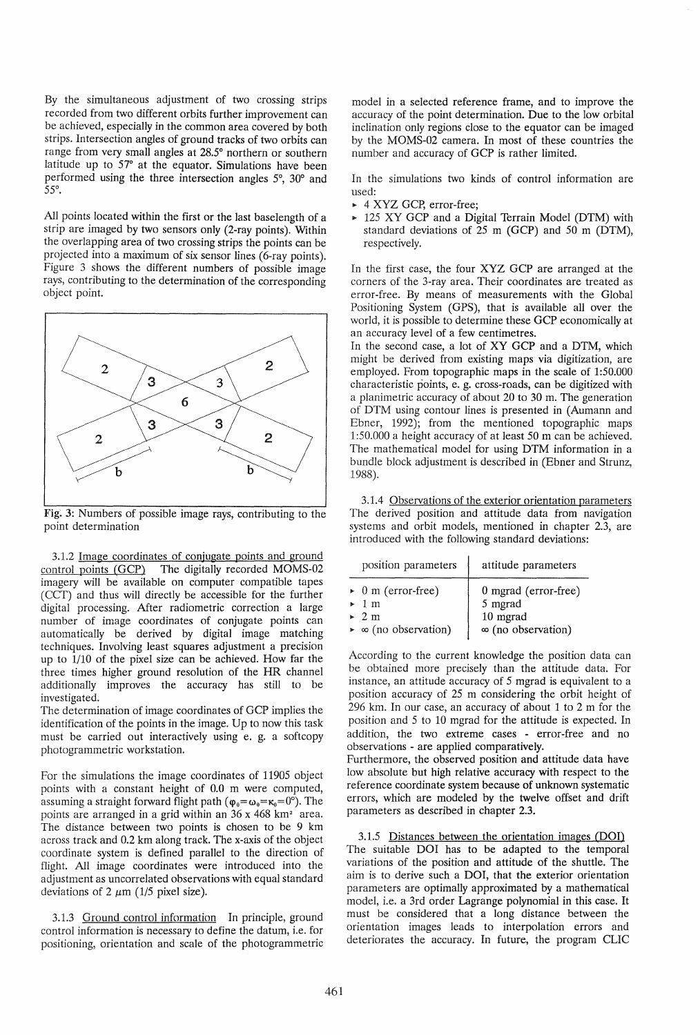By the simultaneous adjustment of two crossing strips recorded from two different orbits further improvement can be achieved, especially in the common area covered by both strips. Intersection angles of ground tracks of two orbits can range from very small angles at 28.5° northern or southern latitude up to 57° at the equator. Simulations have been performed using the three intersection angles 5°, 30° and *55°.* 

All points located within the first or the last baselength of a strip are imaged by two sensors only (2-ray points). Within the overlapping area of two crossing strips the points can be projected into a maximum of six sensor lines (6-ray points). Figure 3 shows the different numbers of possible image rays, contributing to the determination of the corresponding object point.



Fig. 3: Numbers of possible image rays, contributing to the point determination

3.1.2 Image coordinates of conjugate points and ground control points (GCP) The digitally recorded MOMS-02 imagery will be available on computer compatible tapes (CCT) and thus will directly be accessible for the further digital processing. After radiometric correction a large number of image coordinates of conjugate points can automatically be derived by digital image matching techniques. Involving least squares adjustment a precision up to 1/10 of the pixel size can be achieved. How far the three times higher ground resolution of the HR channel additionally improves the accuracy has still to be investigated.

The determination of image coordinates of GCP implies the identification of the points in the image. Up to now this task must be carried out interactively using e. g. a softcopy photogrammetric workstation.

For the simulations the image coordinates of 11905 object points with a constant height of 0.0 m were computed, assuming a straight forward flight path ( $\varphi_0 = \omega_0 = \kappa_0 = 0^\circ$ ). The points are arranged in a grid within an  $36 \times 468$  km<sup>2</sup> area. The distance between two points is chosen to be 9 km across track and 0.2 km along track. The x-axis of the object coordinate system is defined parallel to the direction of flight. All image coordinates were introduced into the adjustment as uncorrelated observations with equal standard deviations of 2  $\mu$ m (1/5 pixel size).

3.1.3 Ground control information In principle, ground control information is necessary to define the datum, i.e. for positioning, orientation and scale of the photogrammetric

model in a selected reference frame, and to improve the accuracy of the point determination. Due to the low orbital inclination only regions close to the equator can be imaged by the MOMS-02 camera. In most of these countries the number and accuracy of GCP is rather limited.

In the simulations two kinds of control information are used:

- <sup>~</sup>4 XYZ GCp, error-free;
- <sup>~</sup>125 XY GCP and a Digital Terrain Model (DTM) with standard deviations of  $25 \text{ m}$  (GCP) and  $50 \text{ m}$  (DTM), respectively.

In the first case, the four XYZ GCP are arranged at the corners of the 3-ray area. Their coordinates are treated as error-free. By means of measurements with the Global Positioning System (GPS), that is available all over the world, it is possible to determine these GCP economically at an accuracy level of a few centimetres.

In the second case, a lot of XY GCP and a DTM, which might be derived from existing maps via digitization, are employed. From topographic maps in the scale of 1:50.000 characteristic points, e. g. cross-roads, can be digitized with a planimetric accuracy of about 20 to 30 m. The generation of DTM using contour lines is presented in (Aumann and Ebner, 1992); from the mentioned topographic maps 1:50.000 a height accuracy of at least 50 m can be achieved. The mathematical model for using DTM information in a bundle block adjustment is described in (Ebner and Strunz, 1988).

3.1.4 Observations of the exterior orientation parameters The derived position and attitude data from navigation systems and orbit models, mentioned in chapter 2.3, are introduced with the following standard deviations:

| position parameters                        | attitude parameters       |
|--------------------------------------------|---------------------------|
| $\triangleright$ 0 m (error-free)          | 0 mgrad (error-free)      |
| $\geq 1$ m                                 | 5 mgrad                   |
| $\approx 2 \text{ m}$                      | 10 mgrad                  |
| $\triangleright$ $\infty$ (no observation) | $\infty$ (no observation) |

According to the current knowledge the position data can be obtained more precisely than the attitude data. For instance, an attitude accuracy of 5 mgrad is equivalent to a position accuracy of 25 m considering the orbit height of 296 km. In our case, an accuracy of about 1 to 2 m for the position and 5 to 10 mgrad for the attitude is expected. In addition, the two extreme cases - error-free and no observations - are applied comparatively.

Furthermore, the observed position and attitude data have low absolute but high relative accuracy with respect to the reference coordinate system because of unknown systematic errors, which are modeled by the twelve offset and drift parameters as described in chapter 2.3.

3.1.5 Distances between the orientation images (DOl) The suitable DOl has to be adapted to the temporal variations of the position and attitude of the shuttle. The aim is to derive such a DOl, that the exterior orientation parameters are optimally approximated by a mathematical model, i.e. a 3rd order Lagrange polynomial in this case. It must be considered that a long distance between the orientation images leads to interpolation errors and deteriorates the accuracy. In future, the program CLIC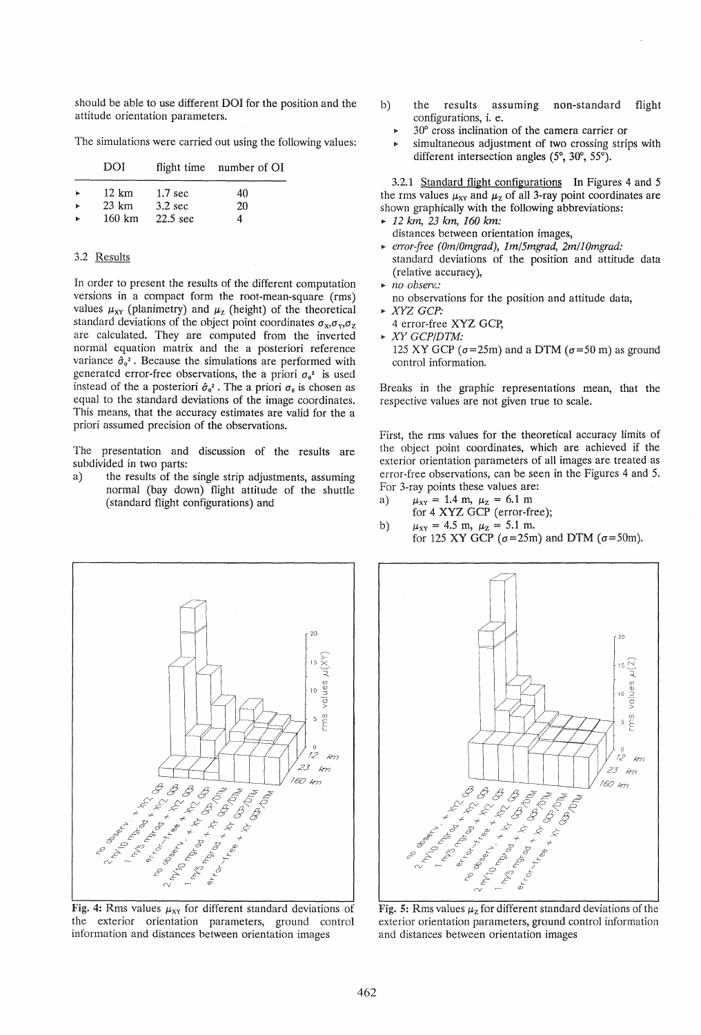should be able to use different DOl for the position and the attitude orientation parameters.

The simulations were carried out using the following values:

|                      | DOI              |                    | flight time number of OI |
|----------------------|------------------|--------------------|--------------------------|
| $\ddot{\phantom{1}}$ | 12 km            | $1.7 \text{ sec}$  | 40                       |
|                      | $23 \text{ km}$  | $3.2 \text{ sec}$  | 20                       |
|                      | $160 \text{ km}$ | $22.5 \text{ sec}$ | 4                        |

### 3.2 Results

In order to present the results of the different computation versions in a compact form the root-mean-square (rms) values  $\mu_{XY}$  (planimetry) and  $\mu_{Z}$  (height) of the theoretical standard deviations of the object point coordinates  $\sigma_x$ , $\sigma_y$ , $\sigma_z$ are calculated. They are computed from the inverted normal equation matrix and the a posteriori reference variance  $\hat{\sigma}_{0}^{2}$ . Because the simulations are performed with generated error-free observations, the a priori  $\sigma_0^2$  is used instead of the a posteriori  $\hat{\sigma}_0^2$ . The a priori  $\sigma_0$  is chosen as equal to the standard deviations of the image coordinates. This means, that the accuracy estimates are valid for the a priori assumed precision of the observations.

The presentation and discussion of the results are subdivided in two parts:

a) the results of the single strip adjustments, assuming normal (bay down) flight attitude of the shuttle (standard flight configurations) and



- <sup>~</sup>30° cross inclination of the camera carrier or
- simultaneous adjustment of two crossing strips with different intersection angles (5°, 30°, 55°).

3.2.1 Standard flight configurations In Figures 4 and 5 the rms values  $\mu_{XY}$  and  $\mu_Z$  of all 3-ray point coordinates are shown graphically with the following abbreviations:

- <sup>~</sup>12 *km,* 23 *km, 160 km:*  distances between orientation images,
- <sup>~</sup>*errorjree (Om/Omgrad), 1m/5mgrad, 2m/10mgrad:*  standard deviations of the position and attitude data (relative accuracy),
- <sup>~</sup>*no observ.:*
- no observations for the position and attitude data,
- <sup>~</sup>*XYZ GCP:* 
	- 4 error-free XYZ GCp,
- <sup>~</sup>*XY GCP/DTM:*
- 125 XY GCP  $(\sigma = 25m)$  and a DTM  $(\sigma = 50 m)$  as ground control information.

Breaks in the graphic representations mean, that the respective values are not given true to scale.

First, the rms values for the theoretical accuracy limits of the object point coordinates, which are achieved if the exterior orientation parameters of all images are treated as error-free observations, can be seen in the Figures 4 and 5. For 3-ray points these values are:

- a)  $\mu_{XY} = 1.4 \text{ m}, \ \mu_Z = 6.1 \text{ m}$ for 4 XYZ GCP (error-free);
- b)  $\mu_{XY} = 4.5 \text{ m}, \ \mu_Z = 5.1 \text{ m}.$ for 125 XY GCP *(a=25m)* and DTM *(a=50m).*



Fig. 4: Rms values  $\mu_{XY}$  for different standard deviations of the exterior orientation parameters, ground control information and distances between orientation images



Fig. 5: Rms values  $\mu$ <sub>z</sub> for different standard deviations of the exterior orientation parameters, ground control information and distances between orientation images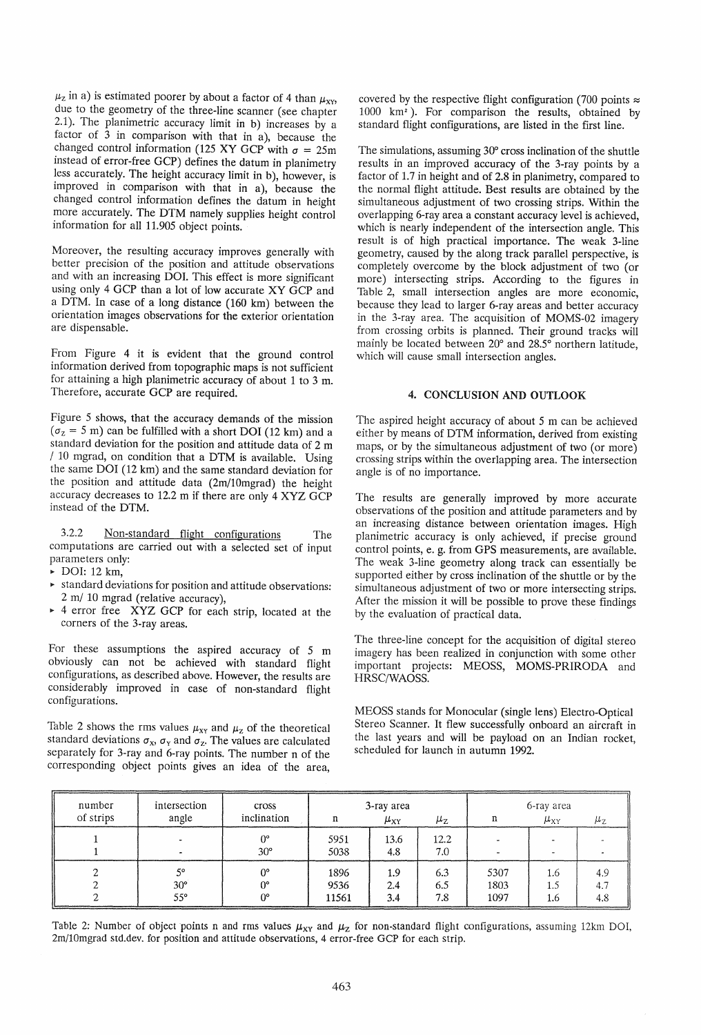$\mu_z$  in a) is estimated poorer by about a factor of 4 than  $\mu_{XY}$ due to the geometry of the three-line scanner (see chapter 2.1). The planimetric accuracy limit in b) increases by a factor of 3 in comparison with that in a), because the changed control information (125 XY GCP with  $\sigma = 25$ m instead of error-free GCP) defines the datum in planimetry less accurately. The height accuracy limit in b), however, is improved in comparison with that in a), because the changed control information defines the datum in height more accurately. The DTM namely supplies height control information for all 11.905 object points.

Moreover, the resulting accuracy improves generally with better precision of the position and attitude observations and with an increasing DOL This effect is more significant using only 4 GCP than a lot of low accurate XY GCP and a DTM. In case of a long distance (160 km) between the orientation images observations for the exterior orientation are dispensable.

From Figure 4 it is evident that the ground control information derived from topographic maps is not sufficient for attaining a high planimetric accuracy of about 1 to 3 m. Therefore, accurate GCP are required.

Figure 5 shows, that the accuracy demands of the mission  $(\sigma_z = 5 \text{ m})$  can be fulfilled with a short DOI (12 km) and a standard deviation for the position and attitude data of 2 m / 10 mgrad, on condition that a DTM is available. Using the same DOl (12 km) and the same standard deviation for the position and attitude data (2m/10mgrad) the height accuracy decreases to 12.2 m if there are only 4 XYZ GCP instead of the DTM.

3.2.2 <u>Non-standard flight configurations</u> The computations are carried out with a selected set of input parameters only:

 $\triangleright$  DOI: 12 km,

- <sup>~</sup>standard deviations for position and attitude observations: 2 m/ 10 mgrad (relative accuracy),
- <sup>~</sup>4 error free XYZ GCP for each strip, located at the corners of the 3-ray areas.

For these assumptions the aspired accuracy of 5 m obviously can not be achieved with standard flight configurations, as described above. However, the results are considerably improved in case of non-standard flight configurations.

Table 2 shows the rms values  $\mu_{XY}$  and  $\mu_Z$  of the theoretical standard deviations  $\sigma_x$ ,  $\sigma_y$  and  $\sigma_z$ . The values are calculated separately for 3-ray and 6-ray points. The number n of the corresponding object points gives an idea of the area,

covered by the respective flight configuration (700 points  $\approx$ 1000 km2). For comparison the results, obtained by standard flight configurations, are listed in the first line.

The simulations, assuming 30° cross inclination of the shuttle results in an improved accuracy of the 3-ray points by a factor of 1.7 in height and of 2.8 in planimetry, compared to the normal flight attitude. Best results are obtained by the simultaneous adjustment of two crossing strips. Within the overlapping 6-ray area a constant accuracy level is achieved, which is nearly independent of the intersection angle. This result is of high practical importance. The weak 3-line geometry, caused by the along track parallel perspective, is completely overcome by the block adjustment of two (or more) intersecting strips. According to the figures in Table 2, small intersection angles are more economic, because they lead to larger 6-ray areas and better accuracy in the 3-ray area. The acquisition of MOMS-02 imagery from crossing orbits is planned. Their ground tracks will mainly be located between 20° and 28.5° northern latitude, which will cause small intersection angles.

# 4. CONCLUSION AND OUTLOOK

The aspired height accuracy of about 5 m can be achieved either by means of DTM information, derived from existing maps, or by the simultaneous adjustment of two (or more) crossing strips within the overlapping area. The intersection angle is of no importance.

The results are generally improved by more accurate observations of the position and attitude parameters and by an increasing distance between orientation images. High planimetric accuracy is only achieved, if precise ground control points, e. g. from GPS measurements, are available. The weak 3-line geometry along track can essentially be supported either by cross inclination of the shuttle or by the simultaneous adjustment of two or more intersecting strips. After the mission it will be possible to prove these findings by the evaluation of practical data.

The three-line concept for the acquisition of digital stereo imagery has been realized in conjunction with some other important projects: MEOSS, MOMS-PRIRODA and HRSC/WAOSS.

MEOSS stands for Monocular (single lens) Electro-Optical Stereo Scanner. It flew successfully onboard an aircraft in the last years and will be payload on an Indian rocket, scheduled for launch in autumn 1992.

| number    | intersection<br>cross            |                           | 3-ray area            |                   |                   | 6-ray area           |                   |                   |
|-----------|----------------------------------|---------------------------|-----------------------|-------------------|-------------------|----------------------|-------------------|-------------------|
| of strips | angle                            | inclination               | n                     | $\mu_{\rm XY}$    | $\mu_{\rm Z}$     | n                    | $\mu_{\rm XY}$    | $\mu_{\rm Z}$     |
|           |                                  | $0^{\circ}$<br>$30^\circ$ | 5951<br>5038          | 13.6<br>4.8       | 12.2<br>7.0       |                      |                   |                   |
|           | 50<br>$30^\circ$<br>$55^{\circ}$ | O°<br>N۰<br>0°            | 1896<br>9536<br>11561 | 1.9<br>2.4<br>3.4 | 6.3<br>6.5<br>7.8 | 5307<br>1803<br>1097 | 1.6<br>1.5<br>1.6 | 4.9<br>4.7<br>4.8 |

Table 2: Number of object points n and rms values  $\mu_{XY}$  and  $\mu_Z$  for non-standard flight configurations, assuming 12km DOI, 2m/lOmgrad std.dev. for position and attitude observations, 4 error-free GCP for each strip.